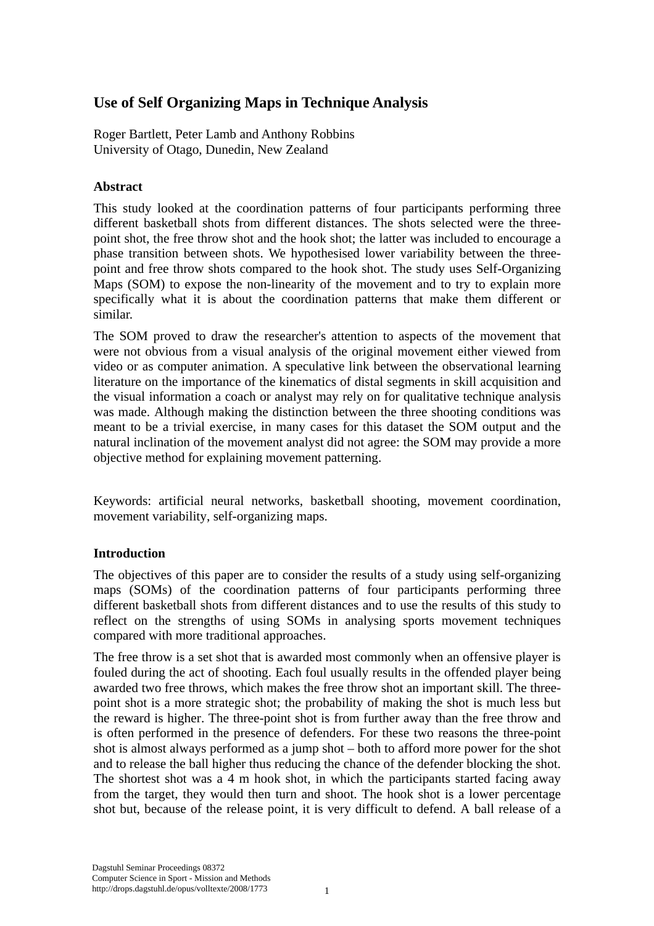# **Use of Self Organizing Maps in Technique Analysis**

Roger Bartlett, Peter Lamb and Anthony Robbins University of Otago, Dunedin, New Zealand

# **Abstract**

This study looked at the coordination patterns of four participants performing three different basketball shots from different distances. The shots selected were the threepoint shot, the free throw shot and the hook shot; the latter was included to encourage a phase transition between shots. We hypothesised lower variability between the threepoint and free throw shots compared to the hook shot. The study uses Self-Organizing Maps (SOM) to expose the non-linearity of the movement and to try to explain more specifically what it is about the coordination patterns that make them different or similar.

The SOM proved to draw the researcher's attention to aspects of the movement that were not obvious from a visual analysis of the original movement either viewed from video or as computer animation. A speculative link between the observational learning literature on the importance of the kinematics of distal segments in skill acquisition and the visual information a coach or analyst may rely on for qualitative technique analysis was made. Although making the distinction between the three shooting conditions was meant to be a trivial exercise, in many cases for this dataset the SOM output and the natural inclination of the movement analyst did not agree: the SOM may provide a more objective method for explaining movement patterning.

Keywords: artificial neural networks, basketball shooting, movement coordination, movement variability, self-organizing maps.

### **Introduction**

The objectives of this paper are to consider the results of a study using self-organizing maps (SOMs) of the coordination patterns of four participants performing three different basketball shots from different distances and to use the results of this study to reflect on the strengths of using SOMs in analysing sports movement techniques compared with more traditional approaches.

The free throw is a set shot that is awarded most commonly when an offensive player is fouled during the act of shooting. Each foul usually results in the offended player being awarded two free throws, which makes the free throw shot an important skill. The threepoint shot is a more strategic shot; the probability of making the shot is much less but the reward is higher. The three-point shot is from further away than the free throw and is often performed in the presence of defenders. For these two reasons the three-point shot is almost always performed as a jump shot – both to afford more power for the shot and to release the ball higher thus reducing the chance of the defender blocking the shot. The shortest shot was a 4 m hook shot, in which the participants started facing away from the target, they would then turn and shoot. The hook shot is a lower percentage shot but, because of the release point, it is very difficult to defend. A ball release of a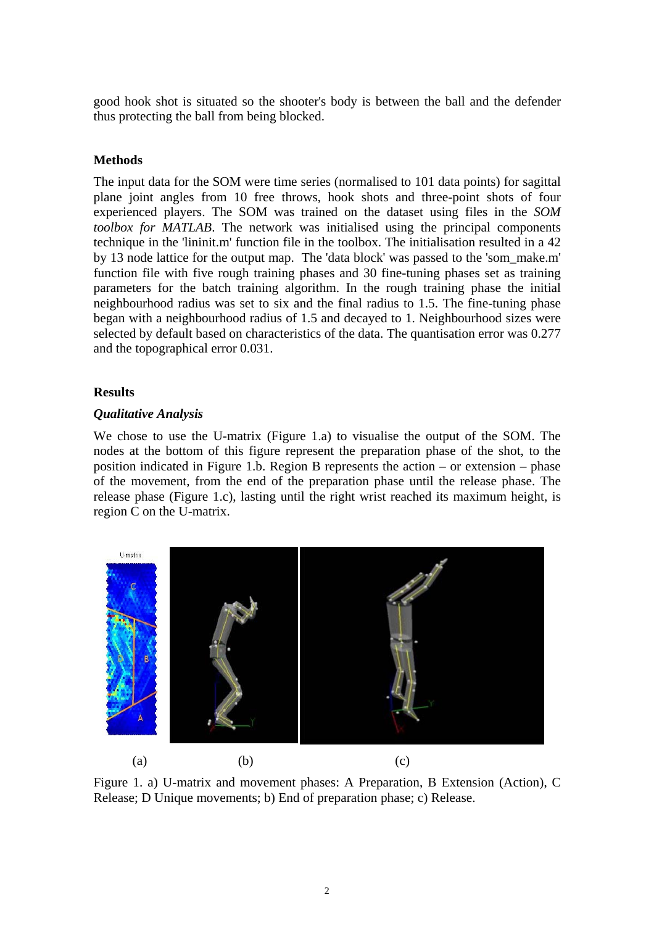good hook shot is situated so the shooter's body is between the ball and the defender thus protecting the ball from being blocked.

### **Methods**

The input data for the SOM were time series (normalised to 101 data points) for sagittal plane joint angles from 10 free throws, hook shots and three-point shots of four experienced players. The SOM was trained on the dataset using files in the *SOM toolbox for MATLAB*. The network was initialised using the principal components technique in the 'lininit.m' function file in the toolbox. The initialisation resulted in a 42 by 13 node lattice for the output map. The 'data block' was passed to the 'som\_make.m' function file with five rough training phases and 30 fine-tuning phases set as training parameters for the batch training algorithm. In the rough training phase the initial neighbourhood radius was set to six and the final radius to 1.5. The fine-tuning phase began with a neighbourhood radius of 1.5 and decayed to 1. Neighbourhood sizes were selected by default based on characteristics of the data. The quantisation error was 0.277 and the topographical error 0.031.

### **Results**

# *Qualitative Analysis*

We chose to use the U-matrix (Figure 1.a) to visualise the output of the SOM. The nodes at the bottom of this figure represent the preparation phase of the shot, to the position indicated in Figure 1.b. Region B represents the action – or extension – phase of the movement, from the end of the preparation phase until the release phase. The release phase (Figure 1.c), lasting until the right wrist reached its maximum height, is region C on the U-matrix.



Figure 1. a) U-matrix and movement phases: A Preparation, B Extension (Action), C Release; D Unique movements; b) End of preparation phase; c) Release.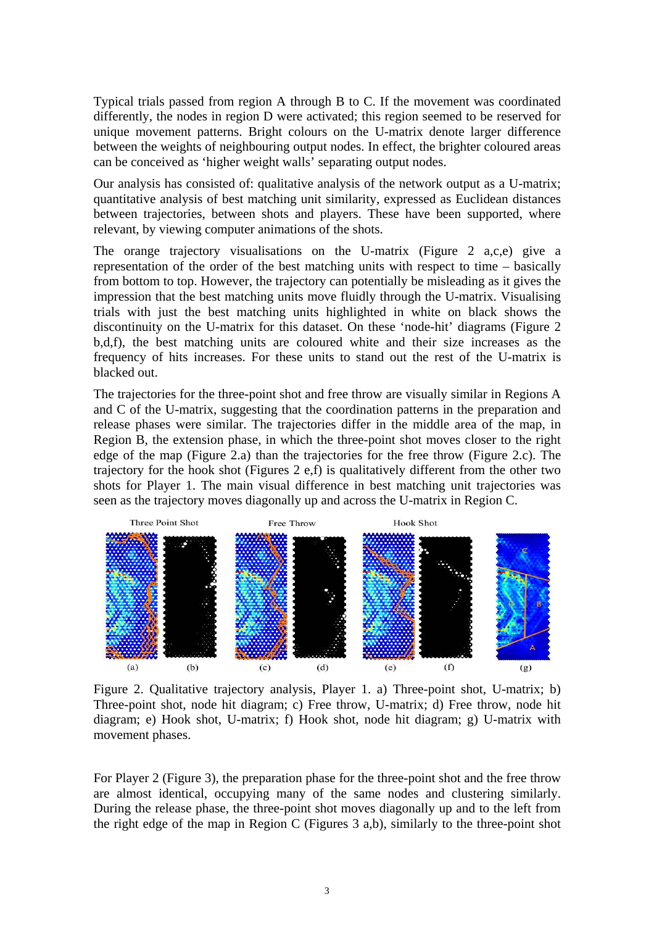Typical trials passed from region A through B to C. If the movement was coordinated differently, the nodes in region D were activated; this region seemed to be reserved for unique movement patterns. Bright colours on the U-matrix denote larger difference between the weights of neighbouring output nodes. In effect, the brighter coloured areas can be conceived as 'higher weight walls' separating output nodes.

Our analysis has consisted of: qualitative analysis of the network output as a U-matrix; quantitative analysis of best matching unit similarity, expressed as Euclidean distances between trajectories, between shots and players. These have been supported, where relevant, by viewing computer animations of the shots.

The orange trajectory visualisations on the U-matrix (Figure 2 a,c,e) give a representation of the order of the best matching units with respect to time – basically from bottom to top. However, the trajectory can potentially be misleading as it gives the impression that the best matching units move fluidly through the U-matrix. Visualising trials with just the best matching units highlighted in white on black shows the discontinuity on the U-matrix for this dataset. On these 'node-hit' diagrams (Figure 2 b,d,f), the best matching units are coloured white and their size increases as the frequency of hits increases. For these units to stand out the rest of the U-matrix is blacked out.

The trajectories for the three-point shot and free throw are visually similar in Regions A and C of the U-matrix, suggesting that the coordination patterns in the preparation and release phases were similar. The trajectories differ in the middle area of the map, in Region B, the extension phase, in which the three-point shot moves closer to the right edge of the map (Figure 2.a) than the trajectories for the free throw (Figure 2.c). The trajectory for the hook shot (Figures 2 e,f) is qualitatively different from the other two shots for Player 1. The main visual difference in best matching unit trajectories was seen as the trajectory moves diagonally up and across the U-matrix in Region C.



Figure 2. Qualitative trajectory analysis, Player 1. a) Three-point shot, U-matrix; b) Three-point shot, node hit diagram; c) Free throw, U-matrix; d) Free throw, node hit diagram; e) Hook shot, U-matrix; f) Hook shot, node hit diagram; g) U-matrix with movement phases.

For Player 2 (Figure 3), the preparation phase for the three-point shot and the free throw are almost identical, occupying many of the same nodes and clustering similarly. During the release phase, the three-point shot moves diagonally up and to the left from the right edge of the map in Region C (Figures 3 a,b), similarly to the three-point shot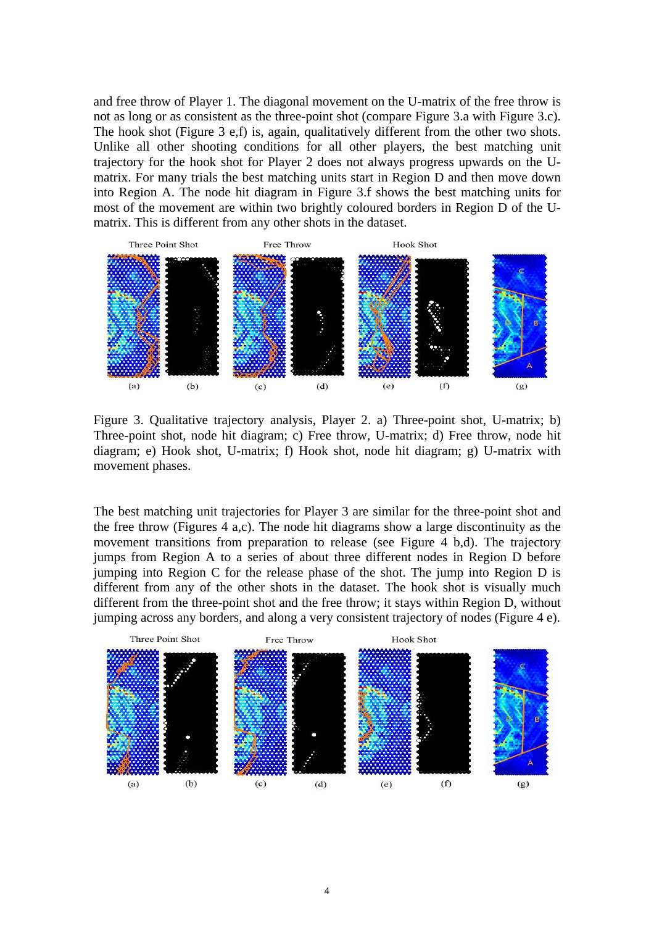and free throw of Player 1. The diagonal movement on the U-matrix of the free throw is not as long or as consistent as the three-point shot (compare Figure 3.a with Figure 3.c). The hook shot (Figure 3 e,f) is, again, qualitatively different from the other two shots. Unlike all other shooting conditions for all other players, the best matching unit trajectory for the hook shot for Player 2 does not always progress upwards on the Umatrix. For many trials the best matching units start in Region D and then move down into Region A. The node hit diagram in Figure 3.f shows the best matching units for most of the movement are within two brightly coloured borders in Region D of the Umatrix. This is different from any other shots in the dataset.



Figure 3. Qualitative trajectory analysis, Player 2. a) Three-point shot, U-matrix; b) Three-point shot, node hit diagram; c) Free throw, U-matrix; d) Free throw, node hit diagram; e) Hook shot, U-matrix; f) Hook shot, node hit diagram; g) U-matrix with movement phases.

The best matching unit trajectories for Player 3 are similar for the three-point shot and the free throw (Figures 4 a,c). The node hit diagrams show a large discontinuity as the movement transitions from preparation to release (see Figure 4 b,d). The trajectory jumps from Region A to a series of about three different nodes in Region D before jumping into Region C for the release phase of the shot. The jump into Region D is different from any of the other shots in the dataset. The hook shot is visually much different from the three-point shot and the free throw; it stays within Region D, without jumping across any borders, and along a very consistent trajectory of nodes (Figure 4 e).

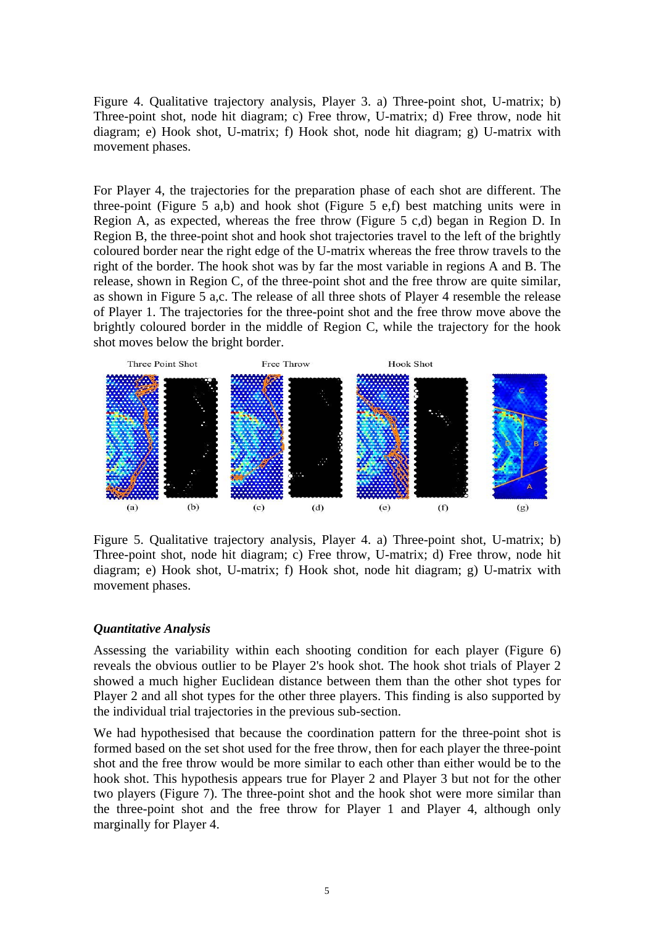Figure 4. Qualitative trajectory analysis, Player 3. a) Three-point shot, U-matrix; b) Three-point shot, node hit diagram; c) Free throw, U-matrix; d) Free throw, node hit diagram; e) Hook shot, U-matrix; f) Hook shot, node hit diagram; g) U-matrix with movement phases.

For Player 4, the trajectories for the preparation phase of each shot are different. The three-point (Figure 5 a,b) and hook shot (Figure 5 e,f) best matching units were in Region A, as expected, whereas the free throw (Figure 5 c,d) began in Region D. In Region B, the three-point shot and hook shot trajectories travel to the left of the brightly coloured border near the right edge of the U-matrix whereas the free throw travels to the right of the border. The hook shot was by far the most variable in regions A and B. The release, shown in Region C, of the three-point shot and the free throw are quite similar, as shown in Figure 5 a,c. The release of all three shots of Player 4 resemble the release of Player 1. The trajectories for the three-point shot and the free throw move above the brightly coloured border in the middle of Region C, while the trajectory for the hook shot moves below the bright border.



Figure 5. Qualitative trajectory analysis, Player 4. a) Three-point shot, U-matrix; b) Three-point shot, node hit diagram; c) Free throw, U-matrix; d) Free throw, node hit diagram; e) Hook shot, U-matrix; f) Hook shot, node hit diagram; g) U-matrix with movement phases.

#### *Quantitative Analysis*

Assessing the variability within each shooting condition for each player (Figure 6) reveals the obvious outlier to be Player 2's hook shot. The hook shot trials of Player 2 showed a much higher Euclidean distance between them than the other shot types for Player 2 and all shot types for the other three players. This finding is also supported by the individual trial trajectories in the previous sub-section.

We had hypothesised that because the coordination pattern for the three-point shot is formed based on the set shot used for the free throw, then for each player the three-point shot and the free throw would be more similar to each other than either would be to the hook shot. This hypothesis appears true for Player 2 and Player 3 but not for the other two players (Figure 7). The three-point shot and the hook shot were more similar than the three-point shot and the free throw for Player 1 and Player 4, although only marginally for Player 4.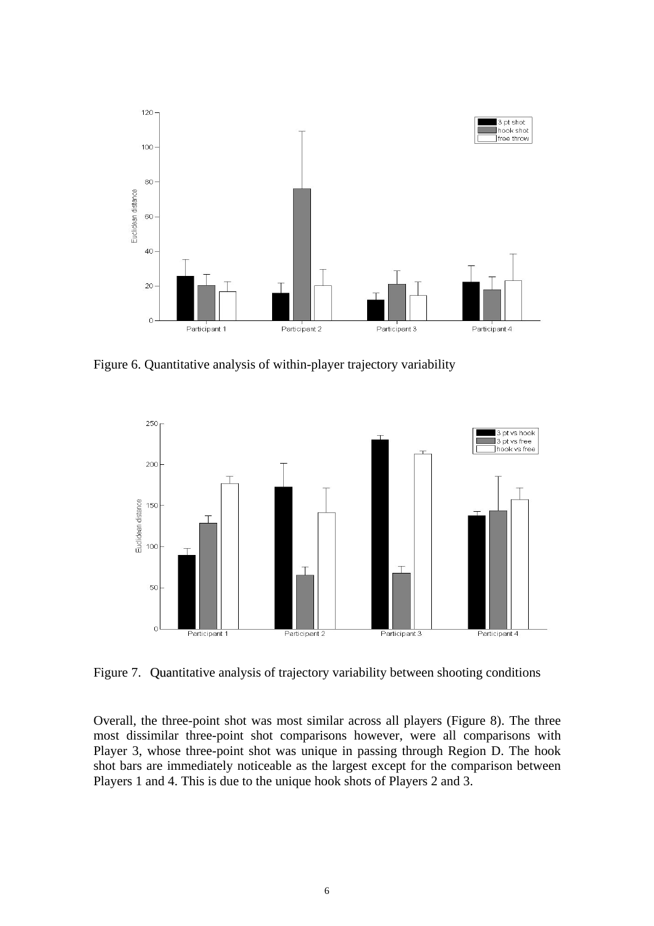

Figure 6. Quantitative analysis of within-player trajectory variability



Figure 7. Quantitative analysis of trajectory variability between shooting conditions

Overall, the three-point shot was most similar across all players (Figure 8). The three most dissimilar three-point shot comparisons however, were all comparisons with Player 3, whose three-point shot was unique in passing through Region D. The hook shot bars are immediately noticeable as the largest except for the comparison between Players 1 and 4. This is due to the unique hook shots of Players 2 and 3.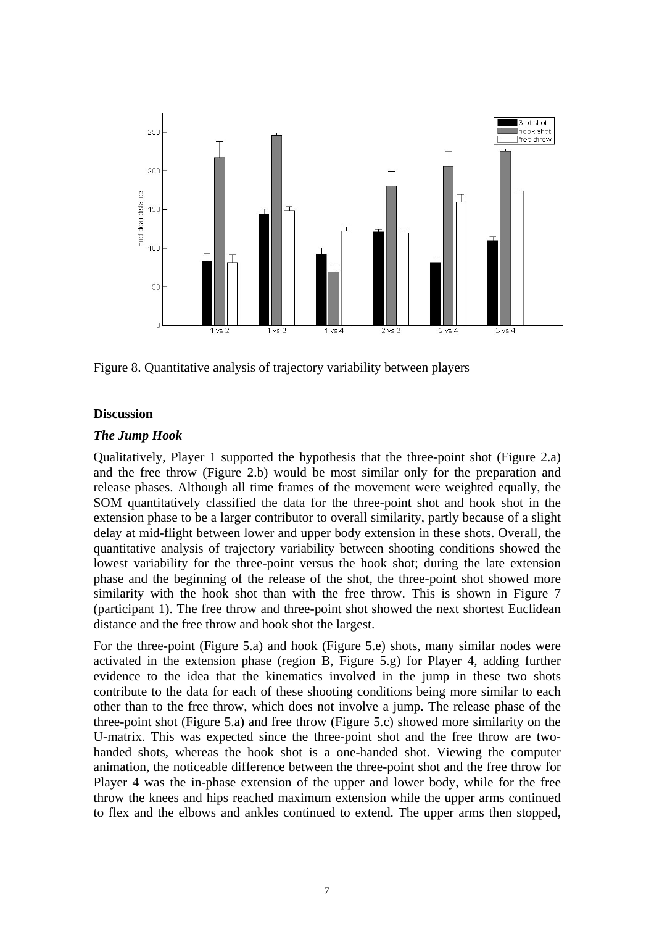

Figure 8. Quantitative analysis of trajectory variability between players

# **Discussion**

# *The Jump Hook*

Qualitatively, Player 1 supported the hypothesis that the three-point shot (Figure 2.a) and the free throw (Figure 2.b) would be most similar only for the preparation and release phases. Although all time frames of the movement were weighted equally, the SOM quantitatively classified the data for the three-point shot and hook shot in the extension phase to be a larger contributor to overall similarity, partly because of a slight delay at mid-flight between lower and upper body extension in these shots. Overall, the quantitative analysis of trajectory variability between shooting conditions showed the lowest variability for the three-point versus the hook shot; during the late extension phase and the beginning of the release of the shot, the three-point shot showed more similarity with the hook shot than with the free throw. This is shown in Figure 7 (participant 1). The free throw and three-point shot showed the next shortest Euclidean distance and the free throw and hook shot the largest.

For the three-point (Figure 5.a) and hook (Figure 5.e) shots, many similar nodes were activated in the extension phase (region B, Figure 5.g) for Player 4, adding further evidence to the idea that the kinematics involved in the jump in these two shots contribute to the data for each of these shooting conditions being more similar to each other than to the free throw, which does not involve a jump. The release phase of the three-point shot (Figure 5.a) and free throw (Figure 5.c) showed more similarity on the U-matrix. This was expected since the three-point shot and the free throw are twohanded shots, whereas the hook shot is a one-handed shot. Viewing the computer animation, the noticeable difference between the three-point shot and the free throw for Player 4 was the in-phase extension of the upper and lower body, while for the free throw the knees and hips reached maximum extension while the upper arms continued to flex and the elbows and ankles continued to extend. The upper arms then stopped,